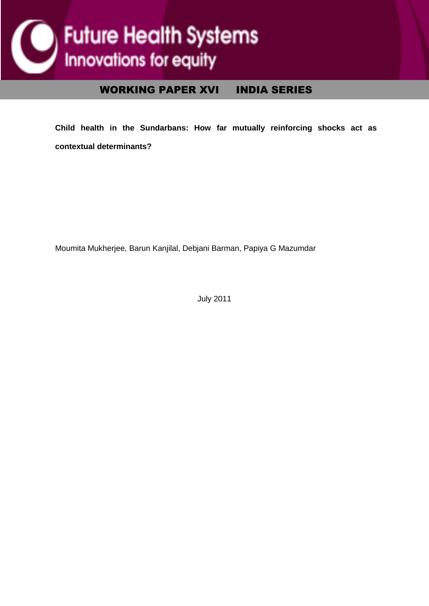

## WORKING PAPER XVI INDIA SERIES

**Child health in the Sundarbans: How far mutually reinforcing shocks act as contextual determinants?** 

Moumita Mukherjee, Barun Kanjilal, Debjani Barman, Papiya G Mazumdar

July 2011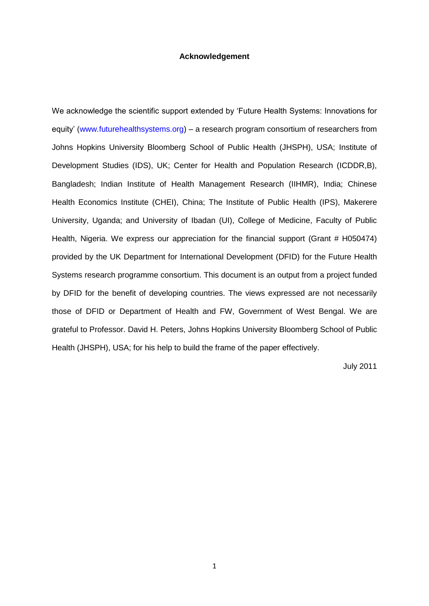#### **Acknowledgement**

We acknowledge the scientific support extended by 'Future Health Systems: Innovations for equity' (www.futurehealthsystems.org) – a research program consortium of researchers from Johns Hopkins University Bloomberg School of Public Health (JHSPH), USA; Institute of Development Studies (IDS), UK; Center for Health and Population Research (ICDDR,B), Bangladesh; Indian Institute of Health Management Research (IIHMR), India; Chinese Health Economics Institute (CHEI), China; The Institute of Public Health (IPS), Makerere University, Uganda; and University of Ibadan (UI), College of Medicine, Faculty of Public Health, Nigeria. We express our appreciation for the financial support (Grant # H050474) provided by the UK Department for International Development (DFID) for the Future Health Systems research programme consortium. This document is an output from a project funded by DFID for the benefit of developing countries. The views expressed are not necessarily those of DFID or Department of Health and FW, Government of West Bengal. We are grateful to Professor. David H. Peters, Johns Hopkins University Bloomberg School of Public Health (JHSPH), USA; for his help to build the frame of the paper effectively.

July 2011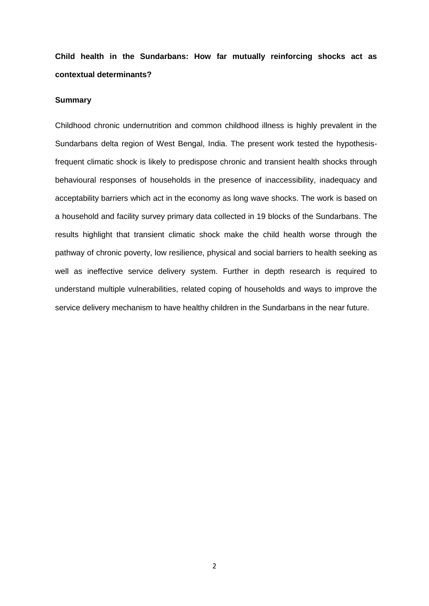**Child health in the Sundarbans: How far mutually reinforcing shocks act as contextual determinants?** 

#### **Summary**

Childhood chronic undernutrition and common childhood illness is highly prevalent in the Sundarbans delta region of West Bengal, India. The present work tested the hypothesisfrequent climatic shock is likely to predispose chronic and transient health shocks through behavioural responses of households in the presence of inaccessibility, inadequacy and acceptability barriers which act in the economy as long wave shocks. The work is based on a household and facility survey primary data collected in 19 blocks of the Sundarbans. The results highlight that transient climatic shock make the child health worse through the pathway of chronic poverty, low resilience, physical and social barriers to health seeking as well as ineffective service delivery system. Further in depth research is required to understand multiple vulnerabilities, related coping of households and ways to improve the service delivery mechanism to have healthy children in the Sundarbans in the near future.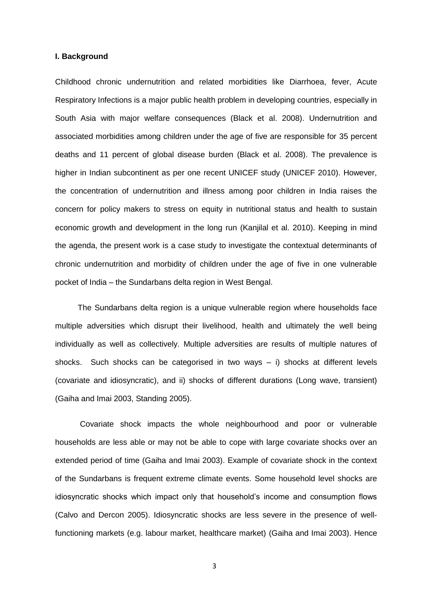#### **I. Background**

Childhood chronic undernutrition and related morbidities like Diarrhoea, fever, Acute Respiratory Infections is a major public health problem in developing countries, especially in South Asia with major welfare consequences (Black et al. 2008). Undernutrition and associated morbidities among children under the age of five are responsible for 35 percent deaths and 11 percent of global disease burden (Black et al. 2008). The prevalence is higher in Indian subcontinent as per one recent UNICEF study (UNICEF 2010). However, the concentration of undernutrition and illness among poor children in India raises the concern for policy makers to stress on equity in nutritional status and health to sustain economic growth and development in the long run (Kanjilal et al. 2010). Keeping in mind the agenda, the present work is a case study to investigate the contextual determinants of chronic undernutrition and morbidity of children under the age of five in one vulnerable pocket of India – the Sundarbans delta region in West Bengal.

The Sundarbans delta region is a unique vulnerable region where households face multiple adversities which disrupt their livelihood, health and ultimately the well being individually as well as collectively. Multiple adversities are results of multiple natures of shocks. Such shocks can be categorised in two ways – i) shocks at different levels (covariate and idiosyncratic), and ii) shocks of different durations (Long wave, transient) (Gaiha and Imai 2003, Standing 2005).

Covariate shock impacts the whole neighbourhood and poor or vulnerable households are less able or may not be able to cope with large covariate shocks over an extended period of time (Gaiha and Imai 2003). Example of covariate shock in the context of the Sundarbans is frequent extreme climate events. Some household level shocks are idiosyncratic shocks which impact only that household's income and consumption flows (Calvo and Dercon 2005). Idiosyncratic shocks are less severe in the presence of wellfunctioning markets (e.g. labour market, healthcare market) (Gaiha and Imai 2003). Hence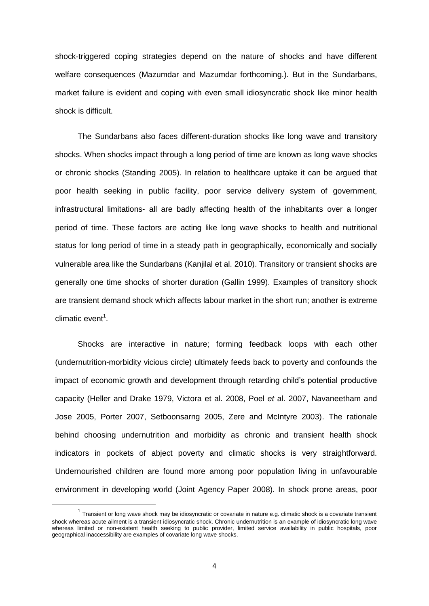shock-triggered coping strategies depend on the nature of shocks and have different welfare consequences (Mazumdar and Mazumdar forthcoming.). But in the Sundarbans, market failure is evident and coping with even small idiosyncratic shock like minor health shock is difficult.

The Sundarbans also faces different-duration shocks like long wave and transitory shocks. When shocks impact through a long period of time are known as long wave shocks or chronic shocks (Standing 2005). In relation to healthcare uptake it can be argued that poor health seeking in public facility, poor service delivery system of government, infrastructural limitations- all are badly affecting health of the inhabitants over a longer period of time. These factors are acting like long wave shocks to health and nutritional status for long period of time in a steady path in geographically, economically and socially vulnerable area like the Sundarbans (Kanjilal et al. 2010). Transitory or transient shocks are generally one time shocks of shorter duration (Gallin 1999). Examples of transitory shock are transient demand shock which affects labour market in the short run; another is extreme climatic event<sup>1</sup>.

Shocks are interactive in nature; forming feedback loops with each other (undernutrition-morbidity vicious circle) ultimately feeds back to poverty and confounds the impact of economic growth and development through retarding child's potential productive capacity (Heller and Drake 1979, Victora et al. 2008, Poel *et* al. 2007, Navaneetham and Jose 2005, Porter 2007, Setboonsarng 2005, Zere and McIntyre 2003). The rationale behind choosing undernutrition and morbidity as chronic and transient health shock indicators in pockets of abject poverty and climatic shocks is very straightforward. Undernourished children are found more among poor population living in unfavourable environment in developing world (Joint Agency Paper 2008). In shock prone areas, poor

**.** 

 $^1$  Transient or long wave shock may be idiosyncratic or covariate in nature e.g. climatic shock is a covariate transient shock whereas acute ailment is a transient idiosyncratic shock. Chronic undernutrition is an example of idiosyncratic long wave whereas limited or non-existent health seeking to public provider, limited service availability in public hospitals, poor geographical inaccessibility are examples of covariate long wave shocks.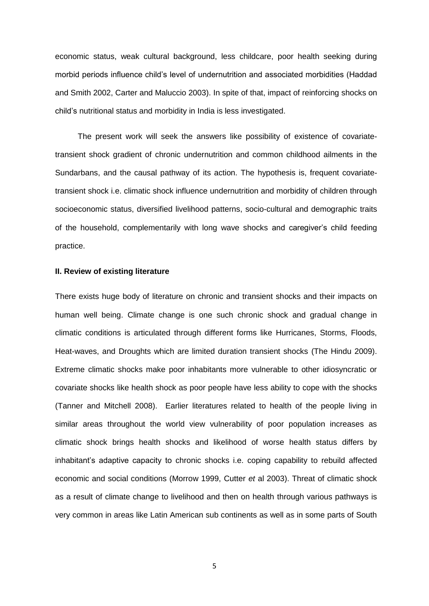economic status, weak cultural background, less childcare, poor health seeking during morbid periods influence child's level of undernutrition and associated morbidities (Haddad and Smith 2002, Carter and Maluccio 2003). In spite of that, impact of reinforcing shocks on child's nutritional status and morbidity in India is less investigated.

The present work will seek the answers like possibility of existence of covariatetransient shock gradient of chronic undernutrition and common childhood ailments in the Sundarbans, and the causal pathway of its action. The hypothesis is, frequent covariatetransient shock i.e. climatic shock influence undernutrition and morbidity of children through socioeconomic status, diversified livelihood patterns, socio-cultural and demographic traits of the household, complementarily with long wave shocks and caregiver's child feeding practice.

#### **II. Review of existing literature**

There exists huge body of literature on chronic and transient shocks and their impacts on human well being. Climate change is one such chronic shock and gradual change in climatic conditions is articulated through different forms like Hurricanes, Storms, Floods, Heat-waves, and Droughts which are limited duration transient shocks (The Hindu 2009). Extreme climatic shocks make poor inhabitants more vulnerable to other idiosyncratic or covariate shocks like health shock as poor people have less ability to cope with the shocks (Tanner and Mitchell 2008). Earlier literatures related to health of the people living in similar areas throughout the world view vulnerability of poor population increases as climatic shock brings health shocks and likelihood of worse health status differs by inhabitant's adaptive capacity to chronic shocks i.e. coping capability to rebuild affected economic and social conditions (Morrow 1999, Cutter *et* al 2003). Threat of climatic shock as a result of climate change to livelihood and then on health through various pathways is very common in areas like Latin American sub continents as well as in some parts of South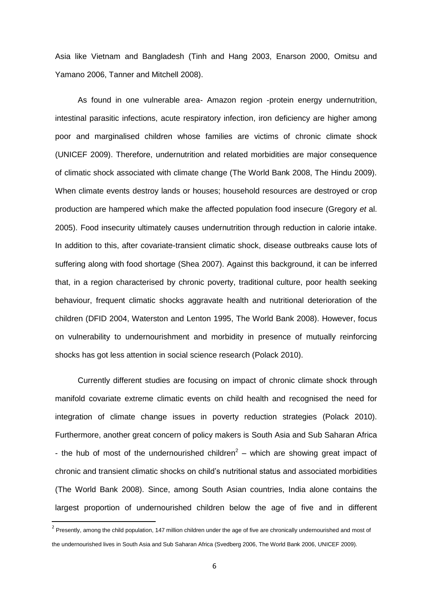Asia like Vietnam and Bangladesh (Tinh and Hang 2003, Enarson 2000, Omitsu and Yamano 2006, Tanner and Mitchell 2008).

As found in one vulnerable area- Amazon region -protein energy undernutrition, intestinal parasitic infections, acute respiratory infection, iron deficiency are higher among poor and marginalised children whose families are victims of chronic climate shock (UNICEF 2009). Therefore, undernutrition and related morbidities are major consequence of climatic shock associated with climate change (The World Bank 2008, The Hindu 2009). When climate events destroy lands or houses; household resources are destroyed or crop production are hampered which make the affected population food insecure (Gregory *et* al. 2005). Food insecurity ultimately causes undernutrition through reduction in calorie intake. In addition to this, after covariate-transient climatic shock, disease outbreaks cause lots of suffering along with food shortage (Shea 2007). Against this background, it can be inferred that, in a region characterised by chronic poverty, traditional culture, poor health seeking behaviour, frequent climatic shocks aggravate health and nutritional deterioration of the children (DFID 2004, Waterston and Lenton 1995, The World Bank 2008). However, focus on vulnerability to undernourishment and morbidity in presence of mutually reinforcing shocks has got less attention in social science research (Polack 2010).

Currently different studies are focusing on impact of chronic climate shock through manifold covariate extreme climatic events on child health and recognised the need for integration of climate change issues in poverty reduction strategies (Polack 2010). Furthermore, another great concern of policy makers is South Asia and Sub Saharan Africa - the hub of most of the undernourished children<sup>2</sup> – which are showing great impact of chronic and transient climatic shocks on child's nutritional status and associated morbidities (The World Bank 2008). Since, among South Asian countries, India alone contains the largest proportion of undernourished children below the age of five and in different

**.** 

 $2$  Presently, among the child population, 147 million children under the age of five are chronically undernourished and most of the undernourished lives in South Asia and Sub Saharan Africa (Svedberg 2006, The World Bank 2006, UNICEF 2009).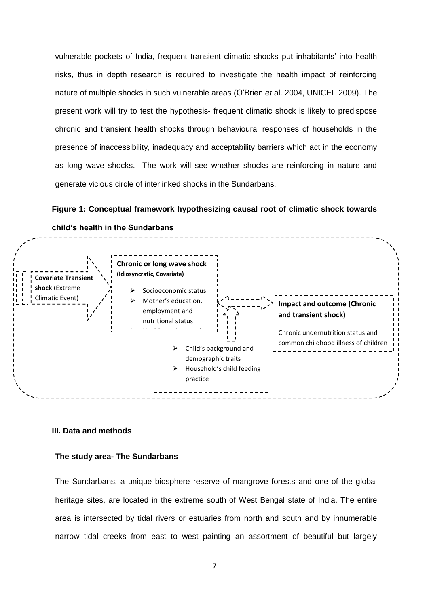vulnerable pockets of India, frequent transient climatic shocks put inhabitants' into health risks, thus in depth research is required to investigate the health impact of reinforcing nature of multiple shocks in such vulnerable areas (O'Brien *et* al. 2004, UNICEF 2009). The present work will try to test the hypothesis- frequent climatic shock is likely to predispose chronic and transient health shocks through behavioural responses of households in the presence of inaccessibility, inadequacy and acceptability barriers which act in the economy as long wave shocks. The work will see whether shocks are reinforcing in nature and generate vicious circle of interlinked shocks in the Sundarbans.

**Figure 1: Conceptual framework hypothesizing causal root of climatic shock towards** 



**child's health in the Sundarbans**

#### **III. Data and methods**

#### **The study area- The Sundarbans**

The Sundarbans, a unique biosphere reserve of mangrove forests and one of the global heritage sites, are located in the extreme south of West Bengal state of India. The entire area is intersected by tidal rivers or estuaries from north and south and by innumerable narrow tidal creeks from east to west painting an assortment of beautiful but largely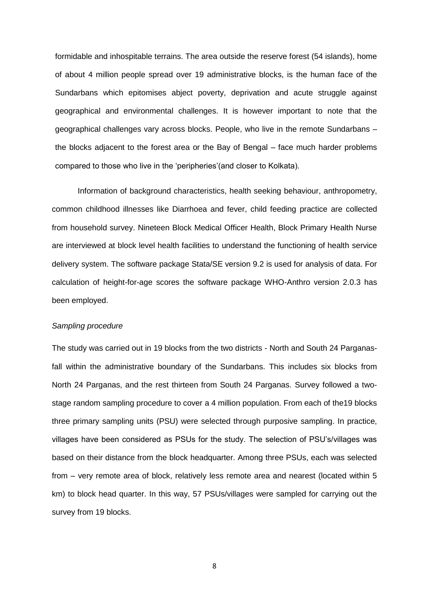formidable and inhospitable terrains. The area outside the reserve forest (54 islands), home of about 4 million people spread over 19 administrative blocks, is the human face of the Sundarbans which epitomises abject poverty, deprivation and acute struggle against geographical and environmental challenges. It is however important to note that the geographical challenges vary across blocks. People, who live in the remote Sundarbans – the blocks adjacent to the forest area or the Bay of Bengal – face much harder problems compared to those who live in the 'peripheries'(and closer to Kolkata).

Information of background characteristics, health seeking behaviour, anthropometry, common childhood illnesses like Diarrhoea and fever, child feeding practice are collected from household survey. Nineteen Block Medical Officer Health, Block Primary Health Nurse are interviewed at block level health facilities to understand the functioning of health service delivery system. The software package Stata/SE version 9.2 is used for analysis of data. For calculation of height-for-age scores the software package WHO-Anthro version 2.0.3 has been employed.

#### *Sampling procedure*

The study was carried out in 19 blocks from the two districts - North and South 24 Parganasfall within the administrative boundary of the Sundarbans. This includes six blocks from North 24 Parganas, and the rest thirteen from South 24 Parganas. Survey followed a twostage random sampling procedure to cover a 4 million population. From each of the19 blocks three primary sampling units (PSU) were selected through purposive sampling. In practice, villages have been considered as PSUs for the study. The selection of PSU's/villages was based on their distance from the block headquarter. Among three PSUs, each was selected from – very remote area of block, relatively less remote area and nearest (located within 5 km) to block head quarter. In this way, 57 PSUs/villages were sampled for carrying out the survey from 19 blocks.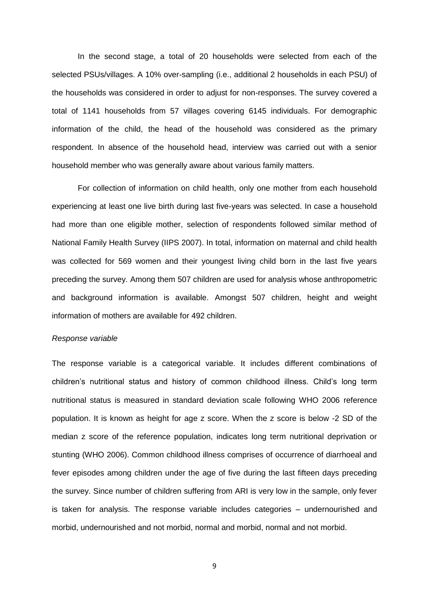In the second stage, a total of 20 households were selected from each of the selected PSUs/villages. A 10% over-sampling (i.e., additional 2 households in each PSU) of the households was considered in order to adjust for non-responses. The survey covered a total of 1141 households from 57 villages covering 6145 individuals. For demographic information of the child, the head of the household was considered as the primary respondent. In absence of the household head, interview was carried out with a senior household member who was generally aware about various family matters.

For collection of information on child health, only one mother from each household experiencing at least one live birth during last five-years was selected. In case a household had more than one eligible mother, selection of respondents followed similar method of National Family Health Survey (IIPS 2007). In total, information on maternal and child health was collected for 569 women and their youngest living child born in the last five years preceding the survey. Among them 507 children are used for analysis whose anthropometric and background information is available. Amongst 507 children, height and weight information of mothers are available for 492 children.

#### *Response variable*

The response variable is a categorical variable. It includes different combinations of children's nutritional status and history of common childhood illness. Child's long term nutritional status is measured in standard deviation scale following WHO 2006 reference population. It is known as height for age z score. When the z score is below -2 SD of the median z score of the reference population, indicates long term nutritional deprivation or stunting (WHO 2006). Common childhood illness comprises of occurrence of diarrhoeal and fever episodes among children under the age of five during the last fifteen days preceding the survey. Since number of children suffering from ARI is very low in the sample, only fever is taken for analysis. The response variable includes categories – undernourished and morbid, undernourished and not morbid, normal and morbid, normal and not morbid.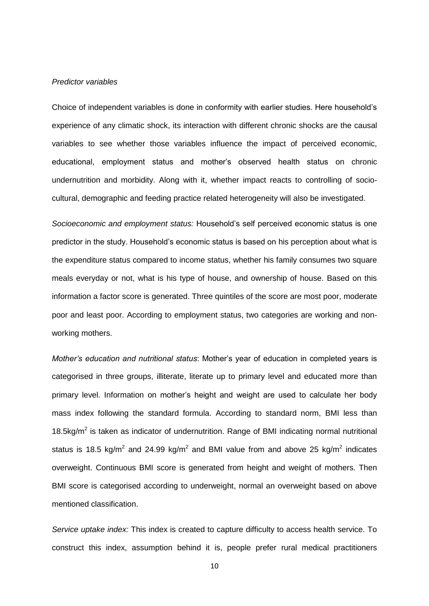#### *Predictor variables*

Choice of independent variables is done in conformity with earlier studies. Here household's experience of any climatic shock, its interaction with different chronic shocks are the causal variables to see whether those variables influence the impact of perceived economic, educational, employment status and mother's observed health status on chronic undernutrition and morbidity. Along with it, whether impact reacts to controlling of sociocultural, demographic and feeding practice related heterogeneity will also be investigated.

*Socioeconomic and employment status:* Household's self perceived economic status is one predictor in the study. Household's economic status is based on his perception about what is the expenditure status compared to income status, whether his family consumes two square meals everyday or not, what is his type of house, and ownership of house. Based on this information a factor score is generated. Three quintiles of the score are most poor, moderate poor and least poor. According to employment status, two categories are working and nonworking mothers.

*Mother's education and nutritional status*: Mother's year of education in completed years is categorised in three groups, illiterate, literate up to primary level and educated more than primary level. Information on mother's height and weight are used to calculate her body mass index following the standard formula. According to standard norm, BMI less than 18.5kg/m<sup>2</sup> is taken as indicator of undernutrition. Range of BMI indicating normal nutritional status is 18.5 kg/m<sup>2</sup> and 24.99 kg/m<sup>2</sup> and BMI value from and above 25 kg/m<sup>2</sup> indicates overweight. Continuous BMI score is generated from height and weight of mothers. Then BMI score is categorised according to underweight, normal an overweight based on above mentioned classification.

*Service uptake index:* This index is created to capture difficulty to access health service. To construct this index, assumption behind it is, people prefer rural medical practitioners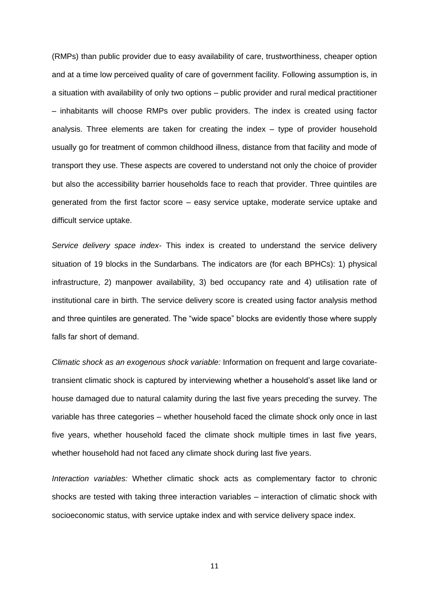(RMPs) than public provider due to easy availability of care, trustworthiness, cheaper option and at a time low perceived quality of care of government facility. Following assumption is, in a situation with availability of only two options – public provider and rural medical practitioner – inhabitants will choose RMPs over public providers. The index is created using factor analysis. Three elements are taken for creating the index – type of provider household usually go for treatment of common childhood illness, distance from that facility and mode of transport they use. These aspects are covered to understand not only the choice of provider but also the accessibility barrier households face to reach that provider. Three quintiles are generated from the first factor score – easy service uptake, moderate service uptake and difficult service uptake.

*Service delivery space index-* This index is created to understand the service delivery situation of 19 blocks in the Sundarbans. The indicators are (for each BPHCs): 1) physical infrastructure, 2) manpower availability, 3) bed occupancy rate and 4) utilisation rate of institutional care in birth. The service delivery score is created using factor analysis method and three quintiles are generated. The "wide space" blocks are evidently those where supply falls far short of demand.

*Climatic shock as an exogenous shock variable:* Information on frequent and large covariatetransient climatic shock is captured by interviewing whether a household's asset like land or house damaged due to natural calamity during the last five years preceding the survey. The variable has three categories – whether household faced the climate shock only once in last five years, whether household faced the climate shock multiple times in last five years, whether household had not faced any climate shock during last five years.

*Interaction variables:* Whether climatic shock acts as complementary factor to chronic shocks are tested with taking three interaction variables – interaction of climatic shock with socioeconomic status, with service uptake index and with service delivery space index.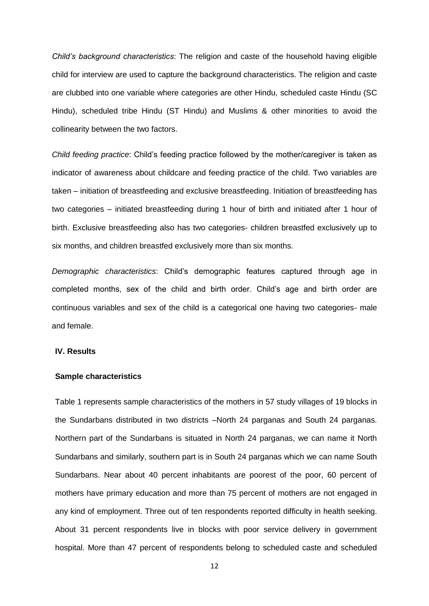*Child's background characteristics*: The religion and caste of the household having eligible child for interview are used to capture the background characteristics. The religion and caste are clubbed into one variable where categories are other Hindu, scheduled caste Hindu (SC Hindu), scheduled tribe Hindu (ST Hindu) and Muslims & other minorities to avoid the collinearity between the two factors.

*Child feeding practice*: Child's feeding practice followed by the mother/caregiver is taken as indicator of awareness about childcare and feeding practice of the child. Two variables are taken – initiation of breastfeeding and exclusive breastfeeding. Initiation of breastfeeding has two categories – initiated breastfeeding during 1 hour of birth and initiated after 1 hour of birth. Exclusive breastfeeding also has two categories- children breastfed exclusively up to six months, and children breastfed exclusively more than six months.

*Demographic characteristics*: Child's demographic features captured through age in completed months, sex of the child and birth order. Child's age and birth order are continuous variables and sex of the child is a categorical one having two categories- male and female.

#### **IV. Results**

#### **Sample characteristics**

Table 1 represents sample characteristics of the mothers in 57 study villages of 19 blocks in the Sundarbans distributed in two districts –North 24 parganas and South 24 parganas. Northern part of the Sundarbans is situated in North 24 parganas, we can name it North Sundarbans and similarly, southern part is in South 24 parganas which we can name South Sundarbans. Near about 40 percent inhabitants are poorest of the poor, 60 percent of mothers have primary education and more than 75 percent of mothers are not engaged in any kind of employment. Three out of ten respondents reported difficulty in health seeking. About 31 percent respondents live in blocks with poor service delivery in government hospital. More than 47 percent of respondents belong to scheduled caste and scheduled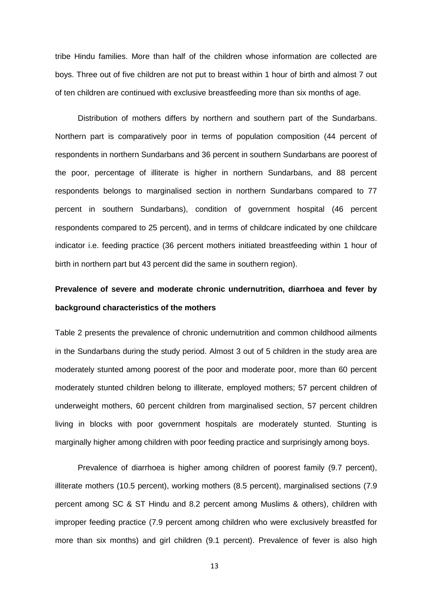tribe Hindu families. More than half of the children whose information are collected are boys. Three out of five children are not put to breast within 1 hour of birth and almost 7 out of ten children are continued with exclusive breastfeeding more than six months of age.

Distribution of mothers differs by northern and southern part of the Sundarbans. Northern part is comparatively poor in terms of population composition (44 percent of respondents in northern Sundarbans and 36 percent in southern Sundarbans are poorest of the poor, percentage of illiterate is higher in northern Sundarbans, and 88 percent respondents belongs to marginalised section in northern Sundarbans compared to 77 percent in southern Sundarbans), condition of government hospital (46 percent respondents compared to 25 percent), and in terms of childcare indicated by one childcare indicator i.e. feeding practice (36 percent mothers initiated breastfeeding within 1 hour of birth in northern part but 43 percent did the same in southern region).

# **Prevalence of severe and moderate chronic undernutrition, diarrhoea and fever by background characteristics of the mothers**

Table 2 presents the prevalence of chronic undernutrition and common childhood ailments in the Sundarbans during the study period. Almost 3 out of 5 children in the study area are moderately stunted among poorest of the poor and moderate poor, more than 60 percent moderately stunted children belong to illiterate, employed mothers; 57 percent children of underweight mothers, 60 percent children from marginalised section, 57 percent children living in blocks with poor government hospitals are moderately stunted. Stunting is marginally higher among children with poor feeding practice and surprisingly among boys.

Prevalence of diarrhoea is higher among children of poorest family (9.7 percent), illiterate mothers (10.5 percent), working mothers (8.5 percent), marginalised sections (7.9 percent among SC & ST Hindu and 8.2 percent among Muslims & others), children with improper feeding practice (7.9 percent among children who were exclusively breastfed for more than six months) and girl children (9.1 percent). Prevalence of fever is also high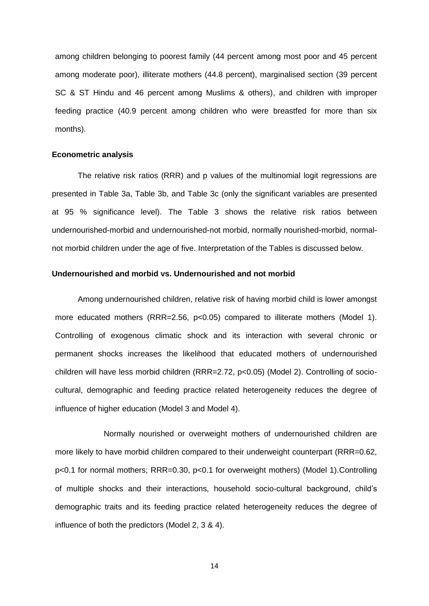among children belonging to poorest family (44 percent among most poor and 45 percent among moderate poor), illiterate mothers (44.8 percent), marginalised section (39 percent SC & ST Hindu and 46 percent among Muslims & others), and children with improper feeding practice (40.9 percent among children who were breastfed for more than six months).

#### **Econometric analysis**

The relative risk ratios (RRR) and p values of the multinomial logit regressions are presented in Table 3a, Table 3b, and Table 3c (only the significant variables are presented at 95 % significance level). The Table 3 shows the relative risk ratios between undernourished-morbid and undernourished-not morbid, normally nourished-morbid, normalnot morbid children under the age of five. Interpretation of the Tables is discussed below.

## **Undernourished and morbid vs. Undernourished and not morbid**

Among undernourished children, relative risk of having morbid child is lower amongst more educated mothers (RRR=2.56, p<0.05) compared to illiterate mothers (Model 1). Controlling of exogenous climatic shock and its interaction with several chronic or permanent shocks increases the likelihood that educated mothers of undernourished children will have less morbid children (RRR=2.72, p<0.05) (Model 2). Controlling of sociocultural, demographic and feeding practice related heterogeneity reduces the degree of influence of higher education (Model 3 and Model 4).

Normally nourished or overweight mothers of undernourished children are more likely to have morbid children compared to their underweight counterpart (RRR=0.62, p<0.1 for normal mothers; RRR=0.30, p<0.1 for overweight mothers) (Model 1).Controlling of multiple shocks and their interactions, household socio-cultural background, child's demographic traits and its feeding practice related heterogeneity reduces the degree of influence of both the predictors (Model 2, 3 & 4).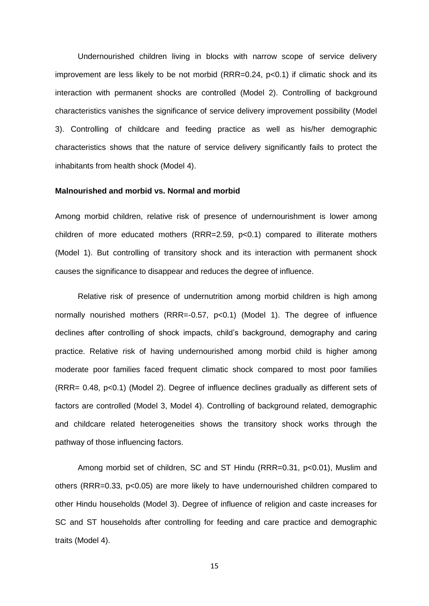Undernourished children living in blocks with narrow scope of service delivery improvement are less likely to be not morbid (RRR=0.24, p<0.1) if climatic shock and its interaction with permanent shocks are controlled (Model 2). Controlling of background characteristics vanishes the significance of service delivery improvement possibility (Model 3). Controlling of childcare and feeding practice as well as his/her demographic characteristics shows that the nature of service delivery significantly fails to protect the inhabitants from health shock (Model 4).

#### **Malnourished and morbid vs. Normal and morbid**

Among morbid children, relative risk of presence of undernourishment is lower among children of more educated mothers (RRR=2.59, p<0.1) compared to illiterate mothers (Model 1). But controlling of transitory shock and its interaction with permanent shock causes the significance to disappear and reduces the degree of influence.

Relative risk of presence of undernutrition among morbid children is high among normally nourished mothers (RRR=-0.57, p<0.1) (Model 1). The degree of influence declines after controlling of shock impacts, child's background, demography and caring practice. Relative risk of having undernourished among morbid child is higher among moderate poor families faced frequent climatic shock compared to most poor families (RRR= 0.48, p<0.1) (Model 2). Degree of influence declines gradually as different sets of factors are controlled (Model 3, Model 4). Controlling of background related, demographic and childcare related heterogeneities shows the transitory shock works through the pathway of those influencing factors.

Among morbid set of children, SC and ST Hindu (RRR=0.31, p<0.01), Muslim and others (RRR=0.33, p<0.05) are more likely to have undernourished children compared to other Hindu households (Model 3). Degree of influence of religion and caste increases for SC and ST households after controlling for feeding and care practice and demographic traits (Model 4).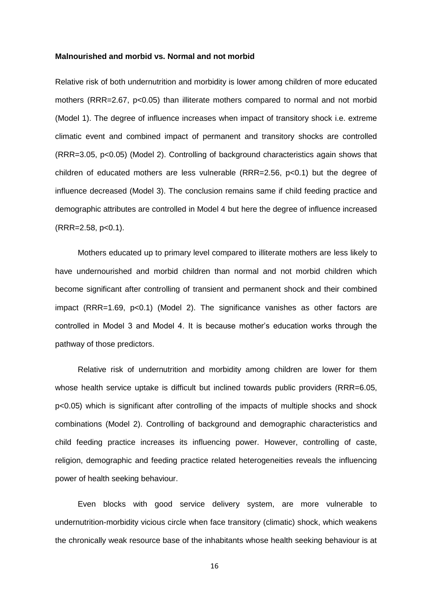#### **Malnourished and morbid vs. Normal and not morbid**

Relative risk of both undernutrition and morbidity is lower among children of more educated mothers (RRR=2.67, p<0.05) than illiterate mothers compared to normal and not morbid (Model 1). The degree of influence increases when impact of transitory shock i.e. extreme climatic event and combined impact of permanent and transitory shocks are controlled (RRR=3.05, p<0.05) (Model 2). Controlling of background characteristics again shows that children of educated mothers are less vulnerable (RRR=2.56, p<0.1) but the degree of influence decreased (Model 3). The conclusion remains same if child feeding practice and demographic attributes are controlled in Model 4 but here the degree of influence increased  $(RRR=2.58, p<0.1).$ 

Mothers educated up to primary level compared to illiterate mothers are less likely to have undernourished and morbid children than normal and not morbid children which become significant after controlling of transient and permanent shock and their combined impact (RRR=1.69, p<0.1) (Model 2). The significance vanishes as other factors are controlled in Model 3 and Model 4. It is because mother's education works through the pathway of those predictors.

Relative risk of undernutrition and morbidity among children are lower for them whose health service uptake is difficult but inclined towards public providers (RRR=6.05, p<0.05) which is significant after controlling of the impacts of multiple shocks and shock combinations (Model 2). Controlling of background and demographic characteristics and child feeding practice increases its influencing power. However, controlling of caste, religion, demographic and feeding practice related heterogeneities reveals the influencing power of health seeking behaviour.

Even blocks with good service delivery system, are more vulnerable to undernutrition-morbidity vicious circle when face transitory (climatic) shock, which weakens the chronically weak resource base of the inhabitants whose health seeking behaviour is at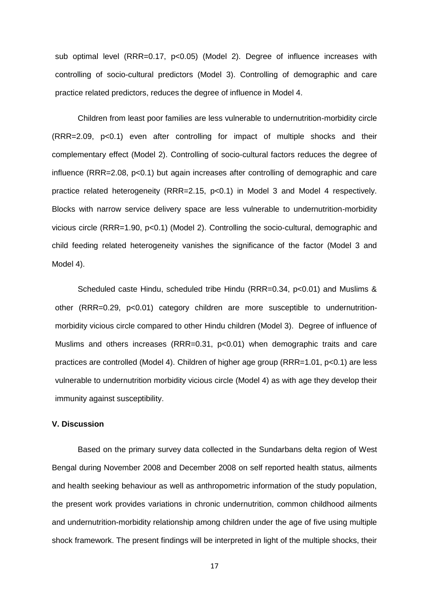sub optimal level (RRR=0.17, p<0.05) (Model 2). Degree of influence increases with controlling of socio-cultural predictors (Model 3). Controlling of demographic and care practice related predictors, reduces the degree of influence in Model 4.

Children from least poor families are less vulnerable to undernutrition-morbidity circle (RRR=2.09, p<0.1) even after controlling for impact of multiple shocks and their complementary effect (Model 2). Controlling of socio-cultural factors reduces the degree of influence (RRR=2.08, p<0.1) but again increases after controlling of demographic and care practice related heterogeneity (RRR=2.15, p<0.1) in Model 3 and Model 4 respectively. Blocks with narrow service delivery space are less vulnerable to undernutrition-morbidity vicious circle (RRR=1.90, p<0.1) (Model 2). Controlling the socio-cultural, demographic and child feeding related heterogeneity vanishes the significance of the factor (Model 3 and Model 4).

Scheduled caste Hindu, scheduled tribe Hindu (RRR=0.34, p<0.01) and Muslims & other (RRR=0.29, p<0.01) category children are more susceptible to undernutritionmorbidity vicious circle compared to other Hindu children (Model 3). Degree of influence of Muslims and others increases (RRR=0.31, p<0.01) when demographic traits and care practices are controlled (Model 4). Children of higher age group (RRR=1.01, p<0.1) are less vulnerable to undernutrition morbidity vicious circle (Model 4) as with age they develop their immunity against susceptibility.

#### **V. Discussion**

Based on the primary survey data collected in the Sundarbans delta region of West Bengal during November 2008 and December 2008 on self reported health status, ailments and health seeking behaviour as well as anthropometric information of the study population, the present work provides variations in chronic undernutrition, common childhood ailments and undernutrition-morbidity relationship among children under the age of five using multiple shock framework. The present findings will be interpreted in light of the multiple shocks, their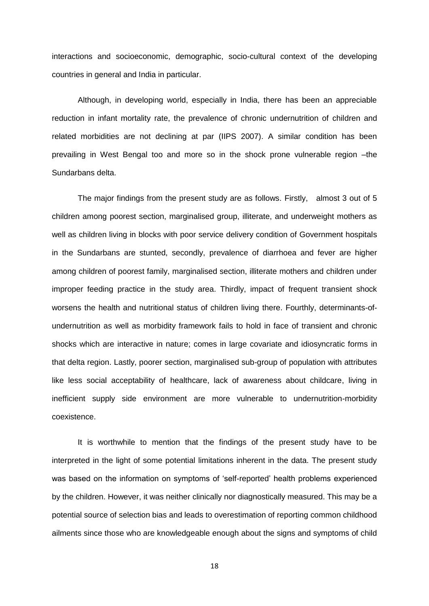interactions and socioeconomic, demographic, socio-cultural context of the developing countries in general and India in particular.

Although, in developing world, especially in India, there has been an appreciable reduction in infant mortality rate, the prevalence of chronic undernutrition of children and related morbidities are not declining at par (IIPS 2007). A similar condition has been prevailing in West Bengal too and more so in the shock prone vulnerable region –the Sundarbans delta.

The major findings from the present study are as follows. Firstly, almost 3 out of 5 children among poorest section, marginalised group, illiterate, and underweight mothers as well as children living in blocks with poor service delivery condition of Government hospitals in the Sundarbans are stunted, secondly, prevalence of diarrhoea and fever are higher among children of poorest family, marginalised section, illiterate mothers and children under improper feeding practice in the study area. Thirdly, impact of frequent transient shock worsens the health and nutritional status of children living there. Fourthly, determinants-ofundernutrition as well as morbidity framework fails to hold in face of transient and chronic shocks which are interactive in nature; comes in large covariate and idiosyncratic forms in that delta region. Lastly, poorer section, marginalised sub-group of population with attributes like less social acceptability of healthcare, lack of awareness about childcare, living in inefficient supply side environment are more vulnerable to undernutrition-morbidity coexistence.

It is worthwhile to mention that the findings of the present study have to be interpreted in the light of some potential limitations inherent in the data. The present study was based on the information on symptoms of 'self-reported' health problems experienced by the children. However, it was neither clinically nor diagnostically measured. This may be a potential source of selection bias and leads to overestimation of reporting common childhood ailments since those who are knowledgeable enough about the signs and symptoms of child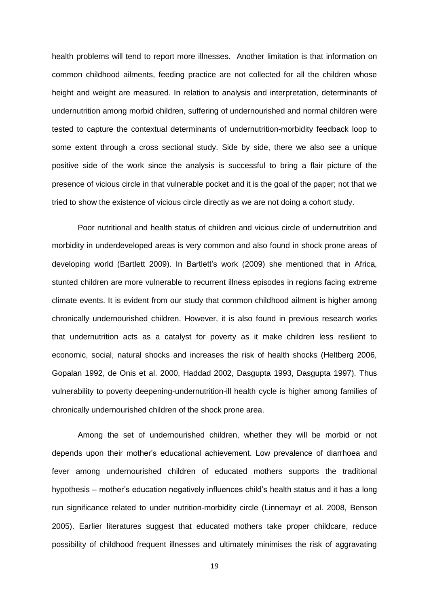health problems will tend to report more illnesses. Another limitation is that information on common childhood ailments, feeding practice are not collected for all the children whose height and weight are measured. In relation to analysis and interpretation, determinants of undernutrition among morbid children, suffering of undernourished and normal children were tested to capture the contextual determinants of undernutrition-morbidity feedback loop to some extent through a cross sectional study. Side by side, there we also see a unique positive side of the work since the analysis is successful to bring a flair picture of the presence of vicious circle in that vulnerable pocket and it is the goal of the paper; not that we tried to show the existence of vicious circle directly as we are not doing a cohort study.

Poor nutritional and health status of children and vicious circle of undernutrition and morbidity in underdeveloped areas is very common and also found in shock prone areas of developing world (Bartlett 2009). In Bartlett's work (2009) she mentioned that in Africa, stunted children are more vulnerable to recurrent illness episodes in regions facing extreme climate events. It is evident from our study that common childhood ailment is higher among chronically undernourished children. However, it is also found in previous research works that undernutrition acts as a catalyst for poverty as it make children less resilient to economic, social, natural shocks and increases the risk of health shocks (Heltberg 2006, Gopalan 1992, de Onis et al. 2000, Haddad 2002, Dasgupta 1993, Dasgupta 1997). Thus vulnerability to poverty deepening-undernutrition-ill health cycle is higher among families of chronically undernourished children of the shock prone area.

Among the set of undernourished children, whether they will be morbid or not depends upon their mother's educational achievement. Low prevalence of diarrhoea and fever among undernourished children of educated mothers supports the traditional hypothesis – mother's education negatively influences child's health status and it has a long run significance related to under nutrition-morbidity circle (Linnemayr et al. 2008, Benson 2005). Earlier literatures suggest that educated mothers take proper childcare, reduce possibility of childhood frequent illnesses and ultimately minimises the risk of aggravating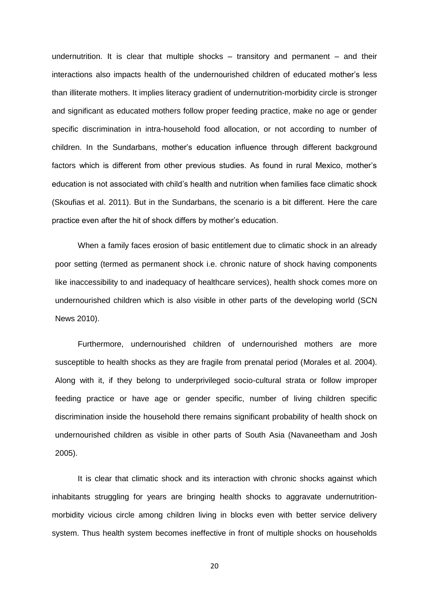undernutrition. It is clear that multiple shocks – transitory and permanent – and their interactions also impacts health of the undernourished children of educated mother's less than illiterate mothers. It implies literacy gradient of undernutrition-morbidity circle is stronger and significant as educated mothers follow proper feeding practice, make no age or gender specific discrimination in intra-household food allocation, or not according to number of children. In the Sundarbans, mother's education influence through different background factors which is different from other previous studies. As found in rural Mexico, mother's education is not associated with child's health and nutrition when families face climatic shock (Skoufias et al. 2011). But in the Sundarbans, the scenario is a bit different. Here the care practice even after the hit of shock differs by mother's education.

When a family faces erosion of basic entitlement due to climatic shock in an already poor setting (termed as permanent shock i.e. chronic nature of shock having components like inaccessibility to and inadequacy of healthcare services), health shock comes more on undernourished children which is also visible in other parts of the developing world (SCN News 2010).

Furthermore, undernourished children of undernourished mothers are more susceptible to health shocks as they are fragile from prenatal period (Morales et al. 2004). Along with it, if they belong to underprivileged socio-cultural strata or follow improper feeding practice or have age or gender specific, number of living children specific discrimination inside the household there remains significant probability of health shock on undernourished children as visible in other parts of South Asia (Navaneetham and Josh 2005).

It is clear that climatic shock and its interaction with chronic shocks against which inhabitants struggling for years are bringing health shocks to aggravate undernutritionmorbidity vicious circle among children living in blocks even with better service delivery system. Thus health system becomes ineffective in front of multiple shocks on households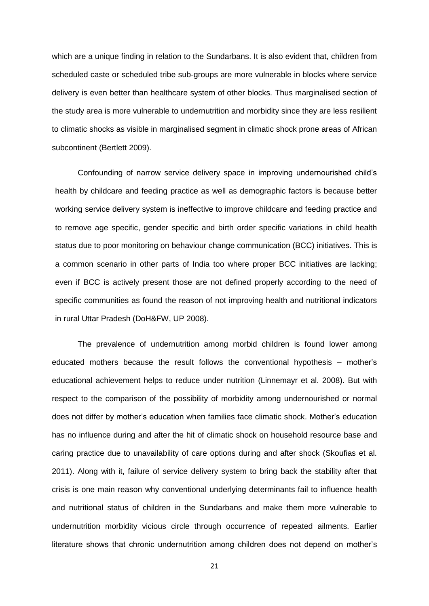which are a unique finding in relation to the Sundarbans. It is also evident that, children from scheduled caste or scheduled tribe sub-groups are more vulnerable in blocks where service delivery is even better than healthcare system of other blocks. Thus marginalised section of the study area is more vulnerable to undernutrition and morbidity since they are less resilient to climatic shocks as visible in marginalised segment in climatic shock prone areas of African subcontinent (Bertlett 2009).

Confounding of narrow service delivery space in improving undernourished child's health by childcare and feeding practice as well as demographic factors is because better working service delivery system is ineffective to improve childcare and feeding practice and to remove age specific, gender specific and birth order specific variations in child health status due to poor monitoring on behaviour change communication (BCC) initiatives. This is a common scenario in other parts of India too where proper BCC initiatives are lacking; even if BCC is actively present those are not defined properly according to the need of specific communities as found the reason of not improving health and nutritional indicators in rural Uttar Pradesh (DoH&FW, UP 2008).

The prevalence of undernutrition among morbid children is found lower among educated mothers because the result follows the conventional hypothesis – mother's educational achievement helps to reduce under nutrition (Linnemayr et al. 2008). But with respect to the comparison of the possibility of morbidity among undernourished or normal does not differ by mother's education when families face climatic shock. Mother's education has no influence during and after the hit of climatic shock on household resource base and caring practice due to unavailability of care options during and after shock (Skoufias et al. 2011). Along with it, failure of service delivery system to bring back the stability after that crisis is one main reason why conventional underlying determinants fail to influence health and nutritional status of children in the Sundarbans and make them more vulnerable to undernutrition morbidity vicious circle through occurrence of repeated ailments. Earlier literature shows that chronic undernutrition among children does not depend on mother's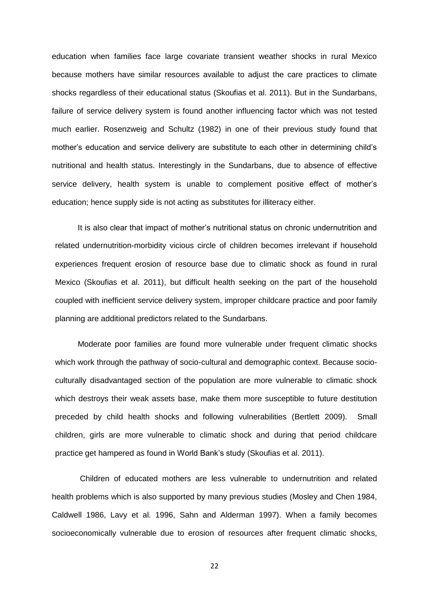education when families face large covariate transient weather shocks in rural Mexico because mothers have similar resources available to adjust the care practices to climate shocks regardless of their educational status (Skoufias et al. 2011). But in the Sundarbans, failure of service delivery system is found another influencing factor which was not tested much earlier. Rosenzweig and Schultz (1982) in one of their previous study found that mother's education and service delivery are substitute to each other in determining child's nutritional and health status. Interestingly in the Sundarbans, due to absence of effective service delivery, health system is unable to complement positive effect of mother's education; hence supply side is not acting as substitutes for illiteracy either.

It is also clear that impact of mother's nutritional status on chronic undernutrition and related undernutrition-morbidity vicious circle of children becomes irrelevant if household experiences frequent erosion of resource base due to climatic shock as found in rural Mexico (Skoufias et al. 2011), but difficult health seeking on the part of the household coupled with inefficient service delivery system, improper childcare practice and poor family planning are additional predictors related to the Sundarbans.

Moderate poor families are found more vulnerable under frequent climatic shocks which work through the pathway of socio-cultural and demographic context. Because socioculturally disadvantaged section of the population are more vulnerable to climatic shock which destroys their weak assets base, make them more susceptible to future destitution preceded by child health shocks and following vulnerabilities (Bertlett 2009). Small children, girls are more vulnerable to climatic shock and during that period childcare practice get hampered as found in World Bank's study (Skoufias et al. 2011).

Children of educated mothers are less vulnerable to undernutrition and related health problems which is also supported by many previous studies (Mosley and Chen 1984, Caldwell 1986, Lavy et al. 1996, Sahn and Alderman 1997). When a family becomes socioeconomically vulnerable due to erosion of resources after frequent climatic shocks,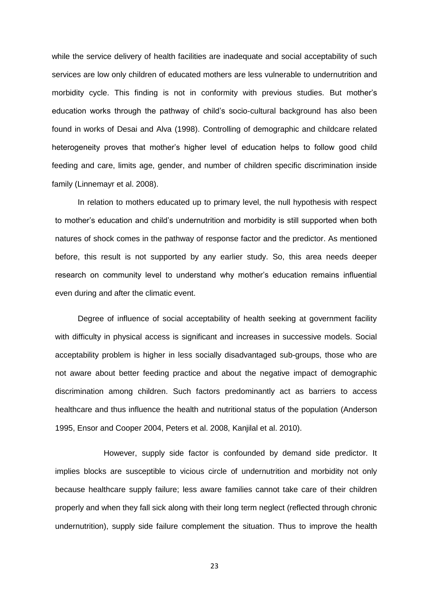while the service delivery of health facilities are inadequate and social acceptability of such services are low only children of educated mothers are less vulnerable to undernutrition and morbidity cycle. This finding is not in conformity with previous studies. But mother's education works through the pathway of child's socio-cultural background has also been found in works of Desai and Alva (1998). Controlling of demographic and childcare related heterogeneity proves that mother's higher level of education helps to follow good child feeding and care, limits age, gender, and number of children specific discrimination inside family (Linnemayr et al. 2008).

In relation to mothers educated up to primary level, the null hypothesis with respect to mother's education and child's undernutrition and morbidity is still supported when both natures of shock comes in the pathway of response factor and the predictor. As mentioned before, this result is not supported by any earlier study. So, this area needs deeper research on community level to understand why mother's education remains influential even during and after the climatic event.

Degree of influence of social acceptability of health seeking at government facility with difficulty in physical access is significant and increases in successive models. Social acceptability problem is higher in less socially disadvantaged sub-groups, those who are not aware about better feeding practice and about the negative impact of demographic discrimination among children. Such factors predominantly act as barriers to access healthcare and thus influence the health and nutritional status of the population (Anderson 1995, Ensor and Cooper 2004, Peters et al. 2008, Kanjilal et al. 2010).

However, supply side factor is confounded by demand side predictor. It implies blocks are susceptible to vicious circle of undernutrition and morbidity not only because healthcare supply failure; less aware families cannot take care of their children properly and when they fall sick along with their long term neglect (reflected through chronic undernutrition), supply side failure complement the situation. Thus to improve the health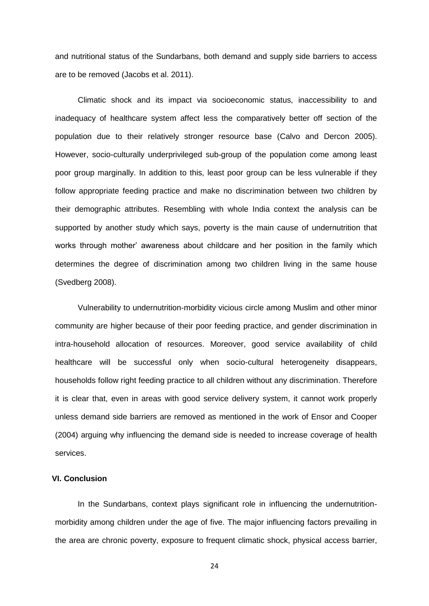and nutritional status of the Sundarbans, both demand and supply side barriers to access are to be removed (Jacobs et al. 2011).

Climatic shock and its impact via socioeconomic status, inaccessibility to and inadequacy of healthcare system affect less the comparatively better off section of the population due to their relatively stronger resource base (Calvo and Dercon 2005). However, socio-culturally underprivileged sub-group of the population come among least poor group marginally. In addition to this, least poor group can be less vulnerable if they follow appropriate feeding practice and make no discrimination between two children by their demographic attributes. Resembling with whole India context the analysis can be supported by another study which says, poverty is the main cause of undernutrition that works through mother' awareness about childcare and her position in the family which determines the degree of discrimination among two children living in the same house (Svedberg 2008).

Vulnerability to undernutrition-morbidity vicious circle among Muslim and other minor community are higher because of their poor feeding practice, and gender discrimination in intra-household allocation of resources. Moreover, good service availability of child healthcare will be successful only when socio-cultural heterogeneity disappears, households follow right feeding practice to all children without any discrimination. Therefore it is clear that, even in areas with good service delivery system, it cannot work properly unless demand side barriers are removed as mentioned in the work of Ensor and Cooper (2004) arguing why influencing the demand side is needed to increase coverage of health services.

#### **VI. Conclusion**

In the Sundarbans, context plays significant role in influencing the undernutritionmorbidity among children under the age of five. The major influencing factors prevailing in the area are chronic poverty, exposure to frequent climatic shock, physical access barrier,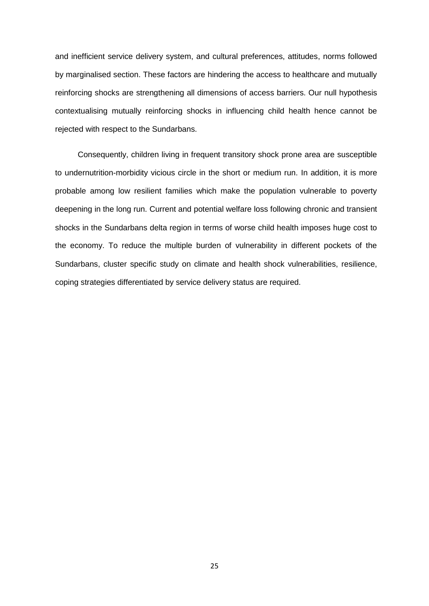and inefficient service delivery system, and cultural preferences, attitudes, norms followed by marginalised section. These factors are hindering the access to healthcare and mutually reinforcing shocks are strengthening all dimensions of access barriers. Our null hypothesis contextualising mutually reinforcing shocks in influencing child health hence cannot be rejected with respect to the Sundarbans.

Consequently, children living in frequent transitory shock prone area are susceptible to undernutrition-morbidity vicious circle in the short or medium run. In addition, it is more probable among low resilient families which make the population vulnerable to poverty deepening in the long run. Current and potential welfare loss following chronic and transient shocks in the Sundarbans delta region in terms of worse child health imposes huge cost to the economy. To reduce the multiple burden of vulnerability in different pockets of the Sundarbans, cluster specific study on climate and health shock vulnerabilities, resilience, coping strategies differentiated by service delivery status are required.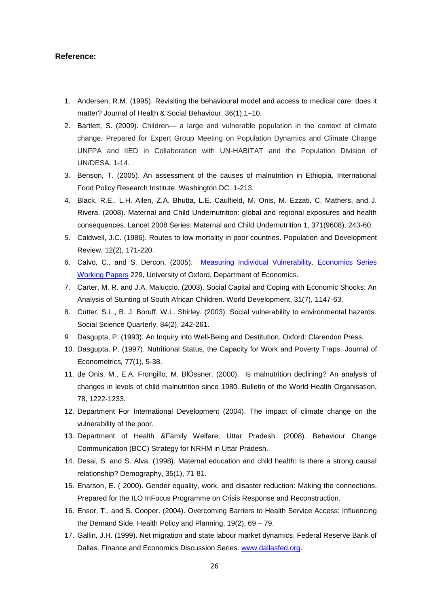#### **Reference:**

- 1. Andersen, R.M. (1995). Revisiting the behavioural model and access to medical care: does it matter? Journal of Health & Social Behaviour, 36(1),1–10.
- 2. Bartlett, S. (2009). Children— a large and vulnerable population in the context of climate change*.* Prepared for Expert Group Meeting on Population Dynamics and Climate Change UNFPA and IIED in Collaboration with UN-HABITAT and the Population Division of UN/DESA. 1-14.
- 3. Benson, T. (2005). An assessment of the causes of malnutrition in Ethiopia. International Food Policy Research Institute. Washington DC. 1-213.
- 4. Black, R.E., L.H. Allen, Z.A. Bhutta, L.E. Caulfield, M. Onis, M. Ezzati, C. Mathers, and J. Rivera. (2008). Maternal and Child Undernutrition: global and regional exposures and health consequences. Lancet 2008 Series: Maternal and Child Undernutrition 1, 371(9608), 243-60.
- 5. Caldwell, J.C. (1986). Routes to low mortality in poor countries. Population and Development Review, 12(2), 171-220.
- 6. Calvo, C., and S. Dercon. (2005). [Measuring Individual Vulnerability.](http://ideas.repec.org/p/oxf/wpaper/229.html) [Economics Series](http://ideas.repec.org/s/oxf/wpaper.html)  [Working Papers](http://ideas.repec.org/s/oxf/wpaper.html) 229, University of Oxford, Department of Economics.
- 7. Carter, M. R. and J.A. Maluccio. (2003). Social Capital and Coping with Economic Shocks: An Analysis of Stunting of South African Children. World Development, 31(7), 1147-63.
- 8. Cutter, S.L., B. J. Boruff, W.L. Shirley. (2003). Social vulnerability to environmental hazards. Social Science Quarterly, 84(2), 242-261.
- *9.* Dasgupta, P. (1993). An Inquiry into Well-Being and Destitution. Oxford: Clarendon Press.
- 10. Dasgupta, P. (1997). Nutritional Status, the Capacity for Work and Poverty Traps. Journal of Econometrics*,* 77(1), 5-38.
- 11. de Onis, M., E.A. Frongillo, M. BlÖssner. (2000). Is malnutrition declining? An analysis of changes in levels of child malnutrition since 1980. Bulletin of the World Health Organisation, 78, 1222-1233.
- 12. Department For International Development (2004). The impact of climate change on the vulnerability of the poor.
- 13. Department of Health &Family Welfare, Uttar Pradesh. (2008). Behaviour Change Communication (BCC) Strategy for NRHM in Uttar Pradesh.
- 14. Desai, S. and S. Alva. (1998). Maternal education and child health: Is there a strong causal relationship? Demography, 35(1), 71-81.
- 15. Enarson, E. ( 2000). Gender equality, work, and disaster reduction: Making the connections. Prepared for the ILO InFocus Programme on Crisis Response and Reconstruction.
- 16. Ensor, T., and S. Cooper. (2004). Overcoming Barriers to Health Service Access: Influencing the Demand Side. Health Policy and Planning, 19(2), 69 – 79.
- 17. Gallin, J.H. (1999). Net migration and state labour market dynamics. Federal Reserve Bank of Dallas. Finance and Economics Discussion Series. [www.dallasfed.org.](http://www.dallasfed.org/)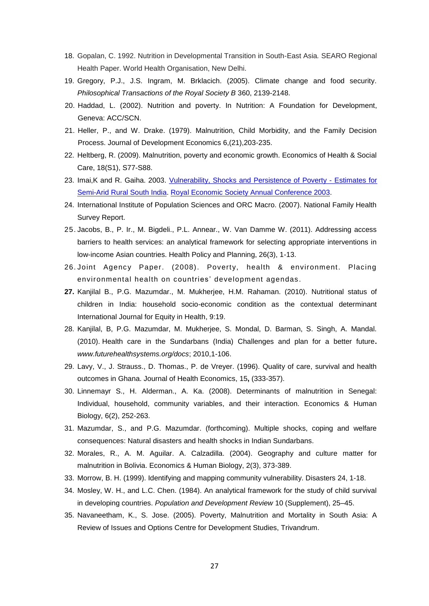- 18. Gopalan, C. 1992. Nutrition in Developmental Transition in South-East Asia*.* SEARO Regional Health Paper. World Health Organisation, New Delhi.
- 19. Gregory, P.J., J.S. Ingram, M. Brklacich. (2005). Climate change and food security. *Philosophical Transactions of the Royal Society B* 360, 2139-2148.
- 20. Haddad, L. (2002). Nutrition and poverty. In Nutrition: A Foundation for Development, Geneva: ACC/SCN.
- 21. Heller, P., and W. Drake. (1979). Malnutrition, Child Morbidity, and the Family Decision Process. Journal of Development Economics 6,(21),203-235.
- 22. Heltberg, R. (2009). Malnutrition, poverty and economic growth. Economics of Health & Social Care, 18(S1), S77-S88.
- 23. Imai,K and R. Gaiha. 2003. [Vulnerability, Shocks and Persistence of Poverty -](http://ideas.repec.org/p/ecj/ac2003/111.html) Estimates for [Semi-Arid Rural South India.](http://ideas.repec.org/p/ecj/ac2003/111.html) [Royal Economic Society Annual Conference 2003.](http://ideas.repec.org/s/ecj/ac2003.html)
- 24. International Institute of Population Sciences and ORC Macro. (2007). National Family Health Survey Report.
- 25. Jacobs, B., P. Ir., M. Bigdeli., P.L. Annear., W. Van Damme W. (2011). Addressing access barriers to health services: an analytical framework for selecting appropriate interventions in low-income Asian countries. Health Policy and Planning, 26(3), 1-13.
- 26. Joint Agency Paper. (2008). Poverty, health & environment. Placing environmental health on countries' development agendas.
- **27.** Kanjilal B., P.G. Mazumdar., M. Mukherjee, H.M. Rahaman. (2010). Nutritional status of children in India: household socio-economic condition as the contextual determinant International Journal for Equity in Health, 9:19.
- 28. Kanjilal, B, P.G. Mazumdar, M. Mukherjee, S. Mondal, D. Barman, S. Singh, A. Mandal. (2010). [Health care in the Sundarbans \(India\) Challenges and plan for a better future](http://www.futurehealthsystems.org/docs/India/Health%20care%20in%20the%20Sundarbans%20(India)%20Challenges%20and%20plan%20for%20a%20better%20future.pdf)**.** *www.futurehealthsystems.org/docs*; 2010,1-106.
- 29. Lavy, V., J. Strauss., D. Thomas., P. de Vreyer. (1996). Quality of care, survival and health outcomes in Ghana. Journal of Health Economics, 15**,** (333-357).
- 30. Linnemayr S., H. Alderman., A. Ka. (2008). Determinants of malnutrition in Senegal: Individual, household, community variables, and their interaction. Economics & Human Biology, 6(2), 252-263.
- 31. Mazumdar, S., and P.G. Mazumdar. (forthcoming). Multiple shocks, coping and welfare consequences: Natural disasters and health shocks in Indian Sundarbans.
- 32. Morales, R., A. M. Aguilar. A. Calzadilla. (2004). Geography and culture matter for malnutrition in Bolivia. Economics & Human Biology, 2(3), 373-389.
- 33. Morrow, B. H. (1999). Identifying and mapping community vulnerability. Disasters 24, 1-18.
- 34. Mosley, W. H., and L.C. Chen. (1984). An analytical framework for the study of child survival in developing countries. *Population and Development Review* 10 (Supplement), 25–45.
- 35. Navaneetham, K., S. Jose. (2005). Poverty, Malnutrition and Mortality in South Asia: A Review of Issues and Options Centre for Development Studies, Trivandrum.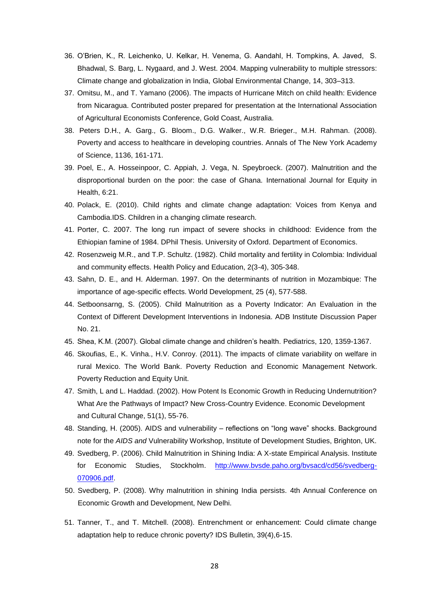- 36. O'Brien, K., R. Leichenko, U. Kelkar, H. Venema, G. Aandahl, H. Tompkins, A. Javed, S. Bhadwal, S. Barg, L. Nygaard, and J. West. 2004. Mapping vulnerability to multiple stressors: Climate change and globalization in India, Global Environmental Change, 14, 303–313.
- 37. Omitsu, M., and T. Yamano (2006). The impacts of Hurricane Mitch on child health: Evidence from Nicaragua. Contributed poster prepared for presentation at the International Association of Agricultural Economists Conference, Gold Coast, Australia.
- 38. Peters D.H., A. Garg., G. Bloom., D.G. Walker., W.R. Brieger., M.H. Rahman. (2008). Poverty and access to healthcare in developing countries. Annals of The New York Academy of Science, 1136, 161-171.
- 39. Poel, E., A. Hosseinpoor, C. Appiah, J. Vega, N. Speybroeck. (2007). Malnutrition and the disproportional burden on the poor: the case of Ghana. International Journal for Equity in Health, 6:21.
- 40. Polack, E. (2010). Child rights and climate change adaptation: Voices from Kenya and Cambodia.IDS. Children in a changing climate research.
- 41. Porter, C. 2007. The long run impact of severe shocks in childhood: Evidence from the Ethiopian famine of 1984. DPhil Thesis. University of Oxford. Department of Economics.
- 42. Rosenzweig M.R., and T.P. Schultz. (1982). Child mortality and fertility in Colombia: Individual and community effects. Health Policy and Education, 2(3-4), 305-348.
- 43. Sahn, D. E., and H. Alderman. 1997. On the determinants of nutrition in Mozambique: The importance of age-specific effects. World Development, 25 (4), 577-588.
- 44. Setboonsarng, S. (2005). Child Malnutrition as a Poverty Indicator: An Evaluation in the Context of Different Development Interventions in Indonesia. ADB Institute Discussion Paper No. 21.
- 45. Shea, K.M. (2007). Global climate change and children's health. Pediatrics, 120, 1359-1367.
- 46. Skoufias, E., K. Vinha., H.V. Conroy. (2011). The impacts of climate variability on welfare in rural Mexico. The World Bank. Poverty Reduction and Economic Management Network. Poverty Reduction and Equity Unit.
- 47. Smith, L and L. Haddad. (2002). How Potent Is Economic Growth in Reducing Undernutrition? What Are the Pathways of Impact? New Cross-Country Evidence. Economic Development and Cultural Change, 51(1), 55-76.
- 48. Standing, H. (2005). AIDS and vulnerability reflections on "long wave" shocks. Background note for the *AIDS and* Vulnerability Workshop, Institute of Development Studies, Brighton, UK.
- 49. Svedberg, P. (2006). Child Malnutrition in Shining India: A X-state Empirical Analysis. Institute for Economic Studies, Stockholm. [http://www.bvsde.paho.org/bvsacd/cd56/svedberg-](http://www.bvsde.paho.org/bvsacd/cd56/svedberg-070906.pdf)[070906.pdf.](http://www.bvsde.paho.org/bvsacd/cd56/svedberg-070906.pdf)
- 50. Svedberg, P. (2008). Why malnutrition in shining India persists. 4th Annual Conference on Economic Growth and Development, New Delhi.
- 51. Tanner, T., and T. Mitchell. (2008). Entrenchment or enhancement: Could climate change adaptation help to reduce chronic poverty? IDS Bulletin, 39(4),6-15.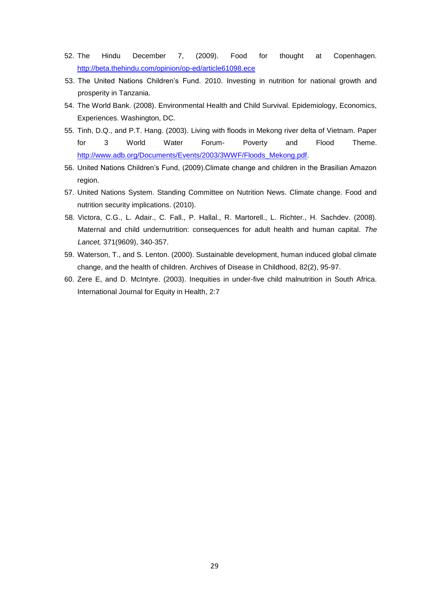- 52. The Hindu December 7, (2009). Food for thought at Copenhagen. <http://beta.thehindu.com/opinion/op-ed/article61098.ece>
- 53. The United Nations Children's Fund. 2010. Investing in nutrition for national growth and prosperity in Tanzania.
- 54. The World Bank. (2008). Environmental Health and Child Survival. Epidemiology, Economics, Experiences. Washington, DC.
- 55. Tinh, D.Q., and P.T. Hang. (2003). Living with floods in Mekong river delta of Vietnam. Paper for 3 World Water Forum- Poverty and Flood Theme. [http://www.adb.org/Documents/Events/2003/3WWF/Floods\\_Mekong.pdf.](http://www.adb.org/Documents/Events/2003/3WWF/Floods_Mekong.pdf)
- 56. United Nations Children's Fund, (2009).Climate change and children in the Brasilian Amazon region.
- 57. United Nations System. Standing Committee on Nutrition News. Climate change. Food and nutrition security implications. (2010).
- 58. Victora, C.G., L. Adair., C. Fall., P. Hallal., R. Martorell., L. Richter., H. Sachdev. (2008). Maternal and child undernutrition: consequences for adult health and human capital. *The Lancet,* 371(9609), 340-357.
- 59. Waterson, T., and S. Lenton. (2000). Sustainable development, human induced global climate change, and the health of children. Archives of Disease in Childhood, 82(2), 95-97.
- 60. Zere E, and D. McIntyre. (2003). Inequities in under-five child malnutrition in South Africa. International Journal for Equity in Health, 2:7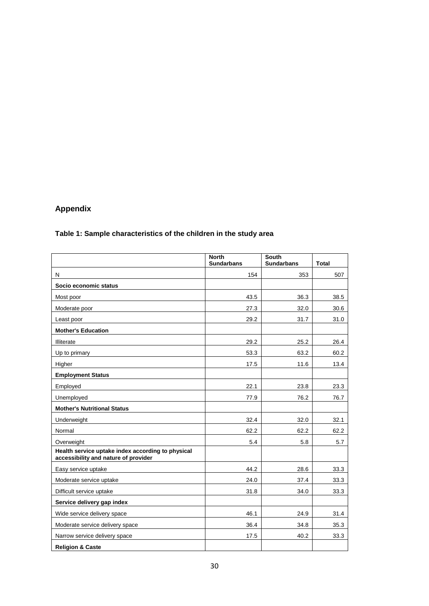## **Appendix**

## **Table 1: Sample characteristics of the children in the study area**

|                                                                                           | <b>North</b><br><b>Sundarbans</b> | <b>South</b><br><b>Sundarbans</b> | <b>Total</b> |
|-------------------------------------------------------------------------------------------|-----------------------------------|-----------------------------------|--------------|
| N                                                                                         | 154                               | 353                               | 507          |
| Socio economic status                                                                     |                                   |                                   |              |
| Most poor                                                                                 | 43.5                              | 36.3                              | 38.5         |
| Moderate poor                                                                             | 27.3                              | 32.0                              | 30.6         |
| Least poor                                                                                | 29.2                              | 31.7                              | 31.0         |
| <b>Mother's Education</b>                                                                 |                                   |                                   |              |
| Illiterate                                                                                | 29.2                              | 25.2                              | 26.4         |
| Up to primary                                                                             | 53.3                              | 63.2                              | 60.2         |
| Higher                                                                                    | 17.5                              | 11.6                              | 13.4         |
| <b>Employment Status</b>                                                                  |                                   |                                   |              |
| Employed                                                                                  | 22.1                              | 23.8                              | 23.3         |
| Unemployed                                                                                | 77.9                              | 76.2                              | 76.7         |
| <b>Mother's Nutritional Status</b>                                                        |                                   |                                   |              |
| Underweight                                                                               | 32.4                              | 32.0                              | 32.1         |
| Normal                                                                                    | 62.2                              | 62.2                              | 62.2         |
| Overweight                                                                                | 5.4                               | 5.8                               | 5.7          |
| Health service uptake index according to physical<br>accessibility and nature of provider |                                   |                                   |              |
| Easy service uptake                                                                       | 44.2                              | 28.6                              | 33.3         |
| Moderate service uptake                                                                   | 24.0                              | 37.4                              | 33.3         |
| Difficult service uptake                                                                  | 31.8                              | 34.0                              | 33.3         |
| Service delivery gap index                                                                |                                   |                                   |              |
| Wide service delivery space                                                               | 46.1                              | 24.9                              | 31.4         |
| Moderate service delivery space                                                           | 36.4                              | 34.8                              | 35.3         |
| Narrow service delivery space                                                             | 17.5                              | 40.2                              | 33.3         |
| <b>Religion &amp; Caste</b>                                                               |                                   |                                   |              |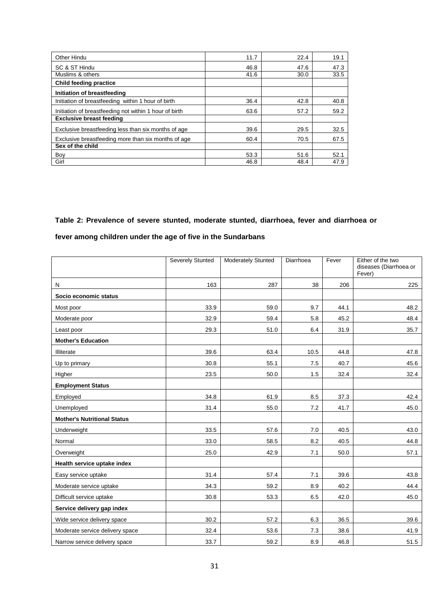| Other Hindu                                            | 11.7 | 22.4 | 19.1 |
|--------------------------------------------------------|------|------|------|
| SC & ST Hindu                                          | 46.8 | 47.6 | 47.3 |
| Muslims & others                                       | 41.6 | 30.0 | 33.5 |
| <b>Child feeding practice</b>                          |      |      |      |
| Initiation of breastfeeding                            |      |      |      |
| Initiation of breastfeeding within 1 hour of birth     | 36.4 | 42.8 | 40.8 |
| Initiation of breastfeeding not within 1 hour of birth | 63.6 | 57.2 | 59.2 |
| <b>Exclusive breast feeding</b>                        |      |      |      |
| Exclusive breastfeeding less than six months of age    | 39.6 | 29.5 | 32.5 |
| Exclusive breastfeeding more than six months of age    | 60.4 | 70.5 | 67.5 |
| Sex of the child                                       |      |      |      |
| Boy                                                    | 53.3 | 51.6 | 52.1 |
| Girl                                                   | 46.8 | 48.4 | 47.9 |

## **Table 2: Prevalence of severe stunted, moderate stunted, diarrhoea, fever and diarrhoea or**

## **fever among children under the age of five in the Sundarbans**

|                                    | <b>Severely Stunted</b> | <b>Moderately Stunted</b> | Diarrhoea | Fever | Either of the two<br>diseases (Diarrhoea or<br>Fever) |
|------------------------------------|-------------------------|---------------------------|-----------|-------|-------------------------------------------------------|
| N                                  | 163                     | 287                       | 38        | 206   | 225                                                   |
| Socio economic status              |                         |                           |           |       |                                                       |
| Most poor                          | 33.9                    | 59.0                      | 9.7       | 44.1  | 48.2                                                  |
| Moderate poor                      | 32.9                    | 59.4                      | 5.8       | 45.2  | 48.4                                                  |
| Least poor                         | 29.3                    | 51.0                      | 6.4       | 31.9  | 35.7                                                  |
| <b>Mother's Education</b>          |                         |                           |           |       |                                                       |
| Illiterate                         | 39.6                    | 63.4                      | 10.5      | 44.8  | 47.8                                                  |
| Up to primary                      | 30.8                    | 55.1                      | 7.5       | 40.7  | 45.6                                                  |
| Higher                             | 23.5                    | 50.0                      | 1.5       | 32.4  | 32.4                                                  |
| <b>Employment Status</b>           |                         |                           |           |       |                                                       |
| Employed                           | 34.8                    | 61.9                      | 8.5       | 37.3  | 42.4                                                  |
| Unemployed                         | 31.4                    | 55.0                      | 7.2       | 41.7  | 45.0                                                  |
| <b>Mother's Nutritional Status</b> |                         |                           |           |       |                                                       |
| Underweight                        | 33.5                    | 57.6                      | 7.0       | 40.5  | 43.0                                                  |
| Normal                             | 33.0                    | 58.5                      | 8.2       | 40.5  | 44.8                                                  |
| Overweight                         | 25.0                    | 42.9                      | 7.1       | 50.0  | 57.1                                                  |
| Health service uptake index        |                         |                           |           |       |                                                       |
| Easy service uptake                | 31.4                    | 57.4                      | 7.1       | 39.6  | 43.8                                                  |
| Moderate service uptake            | 34.3                    | 59.2                      | 8.9       | 40.2  | 44.4                                                  |
| Difficult service uptake           | 30.8                    | 53.3                      | 6.5       | 42.0  | 45.0                                                  |
| Service delivery gap index         |                         |                           |           |       |                                                       |
| Wide service delivery space        | 30.2                    | 57.2                      | 6.3       | 36.5  | 39.6                                                  |
| Moderate service delivery space    | 32.4                    | 53.6                      | 7.3       | 38.6  | 41.9                                                  |
| Narrow service delivery space      | 33.7                    | 59.2                      | 8.9       | 46.8  | 51.5                                                  |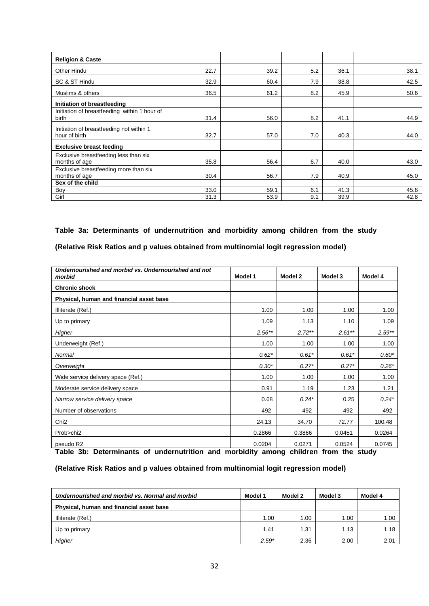| <b>Religion &amp; Caste</b>                               |      |      |     |      |      |
|-----------------------------------------------------------|------|------|-----|------|------|
| Other Hindu                                               | 22.7 | 39.2 | 5.2 | 36.1 | 38.1 |
| SC & ST Hindu                                             | 32.9 | 60.4 | 7.9 | 38.8 | 42.5 |
| Muslims & others                                          | 36.5 | 61.2 | 8.2 | 45.9 | 50.6 |
| Initiation of breastfeeding                               |      |      |     |      |      |
| Initiation of breastfeeding within 1 hour of<br>birth     | 31.4 | 56.0 | 8.2 | 41.1 | 44.9 |
| Initiation of breastfeeding not within 1<br>hour of birth | 32.7 | 57.0 | 7.0 | 40.3 | 44.0 |
| <b>Exclusive breast feeding</b>                           |      |      |     |      |      |
| Exclusive breastfeeding less than six<br>months of age    | 35.8 | 56.4 | 6.7 | 40.0 | 43.0 |
| Exclusive breastfeeding more than six<br>months of age    | 30.4 | 56.7 | 7.9 | 40.9 | 45.0 |
| Sex of the child                                          |      |      |     |      |      |
| Boy                                                       | 33.0 | 59.1 | 6.1 | 41.3 | 45.8 |
| Girl                                                      | 31.3 | 53.9 | 9.1 | 39.9 | 42.8 |

## **Table 3a: Determinants of undernutrition and morbidity among children from the study**

#### **(Relative Risk Ratios and p values obtained from multinomial logit regression model)**

| Undernourished and morbid vs. Undernourished and not<br>morbid | Model 1  | Model 2   | Model 3  | Model 4  |
|----------------------------------------------------------------|----------|-----------|----------|----------|
| <b>Chronic shock</b>                                           |          |           |          |          |
| Physical, human and financial asset base                       |          |           |          |          |
| Illiterate (Ref.)                                              | 1.00     | 1.00      | 1.00     | 1.00     |
| Up to primary                                                  | 1.09     | 1.13      | 1.10     | 1.09     |
| Higher                                                         | $2.56**$ | $2.72***$ | $2.61**$ | $2.59**$ |
| Underweight (Ref.)                                             | 1.00     | 1.00      | 1.00     | 1.00     |
| Normal                                                         | $0.62*$  | $0.61*$   | $0.61*$  | $0.60*$  |
| Overweight                                                     | $0.30*$  | $0.27*$   | $0.27*$  | $0.26*$  |
| Wide service delivery space (Ref.)                             | 1.00     | 1.00      | 1.00     | 1.00     |
| Moderate service delivery space                                | 0.91     | 1.19      | 1.23     | 1.21     |
| Narrow service delivery space                                  | 0.68     | $0.24*$   | 0.25     | $0.24*$  |
| Number of observations                                         | 492      | 492       | 492      | 492      |
| Chi <sub>2</sub>                                               | 24.13    | 34.70     | 72.77    | 100.48   |
| Prob>chi2                                                      | 0.2866   | 0.3866    | 0.0451   | 0.0264   |
| pseudo R2                                                      | 0.0204   | 0.0271    | 0.0524   | 0.0745   |

**Table 3b: Determinants of undernutrition and morbidity among children from the study** 

#### **(Relative Risk Ratios and p values obtained from multinomial logit regression model)**

| Undernourished and morbid vs. Normal and morbid | Model 1 | Model 2 | Model 3 | Model 4 |
|-------------------------------------------------|---------|---------|---------|---------|
| Physical, human and financial asset base        |         |         |         |         |
| Illiterate (Ref.)                               | 1.00    | 1.00    | 1.00    | 1.00    |
| Up to primary                                   | 1.41    | 1.31    | 1.13    | 1.18    |
| Higher                                          | $2.59*$ | 2.36    | 2.00    | 2.01    |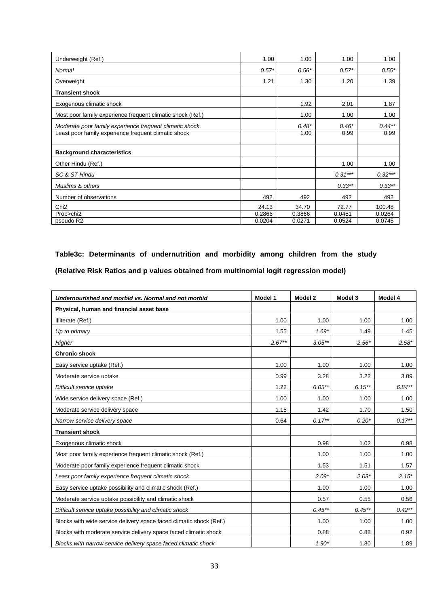| Underweight (Ref.)                                         | 1.00    | 1.00    | 1.00      | 1.00      |
|------------------------------------------------------------|---------|---------|-----------|-----------|
| Normal                                                     | $0.57*$ | $0.56*$ | $0.57*$   | $0.55*$   |
| Overweight                                                 | 1.21    | 1.30    | 1.20      | 1.39      |
| <b>Transient shock</b>                                     |         |         |           |           |
| Exogenous climatic shock                                   |         | 1.92    | 2.01      | 1.87      |
| Most poor family experience frequent climatic shock (Ref.) |         | 1.00    | 1.00      | 1.00      |
| Moderate poor family experience frequent climatic shock    |         | $0.48*$ | $0.46*$   | $0.44***$ |
| Least poor family experience frequent climatic shock       |         | 1.00    | 0.99      | 0.99      |
|                                                            |         |         |           |           |
| <b>Background characteristics</b>                          |         |         |           |           |
| Other Hindu (Ref.)                                         |         |         | 1.00      | 1.00      |
| SC & ST Hindu                                              |         |         | $0.31***$ | $0.32***$ |
| Muslims & others                                           |         |         | $0.33***$ | $0.33***$ |
| Number of observations                                     | 492     | 492     | 492       | 492       |
| Chi <sub>2</sub>                                           | 24.13   | 34.70   | 72.77     | 100.48    |
| Prob>chi2                                                  | 0.2866  | 0.3866  | 0.0451    | 0.0264    |
| pseudo R2                                                  | 0.0204  | 0.0271  | 0.0524    | 0.0745    |

# **Table3c: Determinants of undernutrition and morbidity among children from the study**

**(Relative Risk Ratios and p values obtained from multinomial logit regression model)** 

| Undernourished and morbid vs. Normal and not morbid                 | Model 1  | Model 2   | Model 3   | Model 4  |
|---------------------------------------------------------------------|----------|-----------|-----------|----------|
| Physical, human and financial asset base                            |          |           |           |          |
| Illiterate (Ref.)                                                   | 1.00     | 1.00      | 1.00      | 1.00     |
| Up to primary                                                       | 1.55     | $1.69*$   | 1.49      | 1.45     |
| Higher                                                              | $2.67**$ | $3.05**$  | $2.56*$   | $2.58*$  |
| <b>Chronic shock</b>                                                |          |           |           |          |
| Easy service uptake (Ref.)                                          | 1.00     | 1.00      | 1.00      | 1.00     |
| Moderate service uptake                                             | 0.99     | 3.28      | 3.22      | 3.09     |
| Difficult service uptake                                            | 1.22     | $6.05**$  | $6.15***$ | $6.84**$ |
| Wide service delivery space (Ref.)                                  | 1.00     | 1.00      | 1.00      | 1.00     |
| Moderate service delivery space                                     | 1.15     | 1.42      | 1.70      | 1.50     |
| Narrow service delivery space                                       | 0.64     | $0.17**$  | $0.20*$   | $0.17**$ |
| <b>Transient shock</b>                                              |          |           |           |          |
| Exogenous climatic shock                                            |          | 0.98      | 1.02      | 0.98     |
| Most poor family experience frequent climatic shock (Ref.)          |          | 1.00      | 1.00      | 1.00     |
| Moderate poor family experience frequent climatic shock             |          | 1.53      | 1.51      | 1.57     |
| Least poor family experience frequent climatic shock                |          | $2.09*$   | $2.08*$   | $2.15*$  |
| Easy service uptake possibility and climatic shock (Ref.)           |          | 1.00      | 1.00      | 1.00     |
| Moderate service uptake possibility and climatic shock              |          | 0.57      | 0.55      | 0.56     |
| Difficult service uptake possibility and climatic shock             |          | $0.45***$ | $0.45***$ | $0.42**$ |
| Blocks with wide service delivery space faced climatic shock (Ref.) |          | 1.00      | 1.00      | 1.00     |
| Blocks with moderate service delivery space faced climatic shock    |          | 0.88      | 0.88      | 0.92     |
| Blocks with narrow service delivery space faced climatic shock      |          | $1.90*$   | 1.80      | 1.89     |